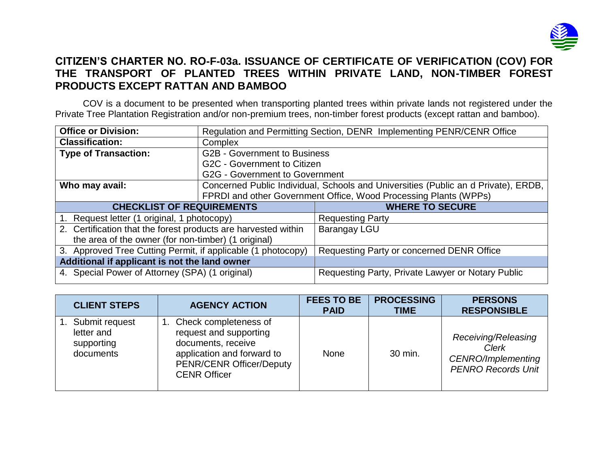

## **CITIZEN'S CHARTER NO. RO-F-03a. ISSUANCE OF CERTIFICATE OF VERIFICATION (COV) FOR THE TRANSPORT OF PLANTED TREES WITHIN PRIVATE LAND, NON-TIMBER FOREST PRODUCTS EXCEPT RATTAN AND BAMBOO**

COV is a document to be presented when transporting planted trees within private lands not registered under the Private Tree Plantation Registration and/or non-premium trees, non-timber forest products (except rattan and bamboo).

| <b>Office or Division:</b>                                     | Regulation and Permitting Section, DENR Implementing PENR/CENR Office |                                                                                    |  |  |
|----------------------------------------------------------------|-----------------------------------------------------------------------|------------------------------------------------------------------------------------|--|--|
| <b>Classification:</b>                                         | Complex                                                               |                                                                                    |  |  |
| <b>Type of Transaction:</b>                                    | <b>G2B - Government to Business</b>                                   |                                                                                    |  |  |
|                                                                | G2C - Government to Citizen                                           |                                                                                    |  |  |
|                                                                | G2G - Government to Government                                        |                                                                                    |  |  |
| Who may avail:                                                 |                                                                       | Concerned Public Individual, Schools and Universities (Public an d Private), ERDB, |  |  |
|                                                                |                                                                       | FPRDI and other Government Office, Wood Processing Plants (WPPs)                   |  |  |
| <b>CHECKLIST OF REQUIREMENTS</b>                               |                                                                       | <b>WHERE TO SECURE</b>                                                             |  |  |
|                                                                |                                                                       |                                                                                    |  |  |
| 1. Request letter (1 original, 1 photocopy)                    |                                                                       | <b>Requesting Party</b>                                                            |  |  |
| 2. Certification that the forest products are harvested within |                                                                       | Barangay LGU                                                                       |  |  |
| the area of the owner (for non-timber) (1 original)            |                                                                       |                                                                                    |  |  |
| 3. Approved Tree Cutting Permit, if applicable (1 photocopy)   |                                                                       | Requesting Party or concerned DENR Office                                          |  |  |
| Additional if applicant is not the land owner                  |                                                                       |                                                                                    |  |  |

| <b>CLIENT STEPS</b>                                     | <b>AGENCY ACTION</b>                                                                                                                                          | <b>FEES TO BE</b><br><b>PAID</b> | <b>PROCESSING</b><br><b>TIME</b> | <b>PERSONS</b><br><b>RESPONSIBLE</b>                                                   |
|---------------------------------------------------------|---------------------------------------------------------------------------------------------------------------------------------------------------------------|----------------------------------|----------------------------------|----------------------------------------------------------------------------------------|
| Submit request<br>letter and<br>supporting<br>documents | Check completeness of<br>request and supporting<br>documents, receive<br>application and forward to<br><b>PENR/CENR Officer/Deputy</b><br><b>CENR Officer</b> | <b>None</b>                      | 30 min.                          | Receiving/Releasing<br>Clerk<br><b>CENRO/Implementing</b><br><b>PENRO Records Unit</b> |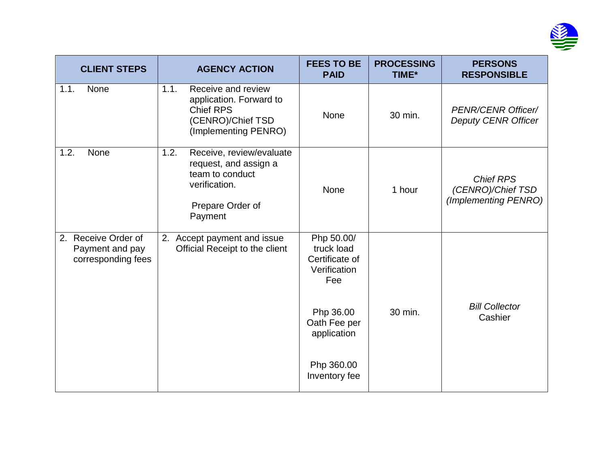

| <b>CLIENT STEPS</b>                                          | <b>AGENCY ACTION</b>                                                                                                         | <b>FEES TO BE</b><br><b>PAID</b>                                  | <b>PROCESSING</b><br>TIME* | <b>PERSONS</b><br><b>RESPONSIBLE</b>                          |
|--------------------------------------------------------------|------------------------------------------------------------------------------------------------------------------------------|-------------------------------------------------------------------|----------------------------|---------------------------------------------------------------|
| None<br>1.1.                                                 | Receive and review<br>1.1.<br>application. Forward to<br><b>Chief RPS</b><br>(CENRO)/Chief TSD<br>(Implementing PENRO)       | <b>None</b>                                                       | 30 min.                    | <b>PENR/CENR Officer/</b><br><b>Deputy CENR Officer</b>       |
| 1.2.<br>None                                                 | 1.2.<br>Receive, review/evaluate<br>request, and assign a<br>team to conduct<br>verification.<br>Prepare Order of<br>Payment | <b>None</b>                                                       | 1 hour                     | <b>Chief RPS</b><br>(CENRO)/Chief TSD<br>(Implementing PENRO) |
| 2. Receive Order of<br>Payment and pay<br>corresponding fees | 2. Accept payment and issue<br>Official Receipt to the client                                                                | Php 50.00/<br>truck load<br>Certificate of<br>Verification<br>Fee |                            |                                                               |
|                                                              |                                                                                                                              | Php 36.00<br>Oath Fee per<br>application                          | 30 min.                    | <b>Bill Collector</b><br>Cashier                              |
|                                                              |                                                                                                                              | Php 360.00<br>Inventory fee                                       |                            |                                                               |